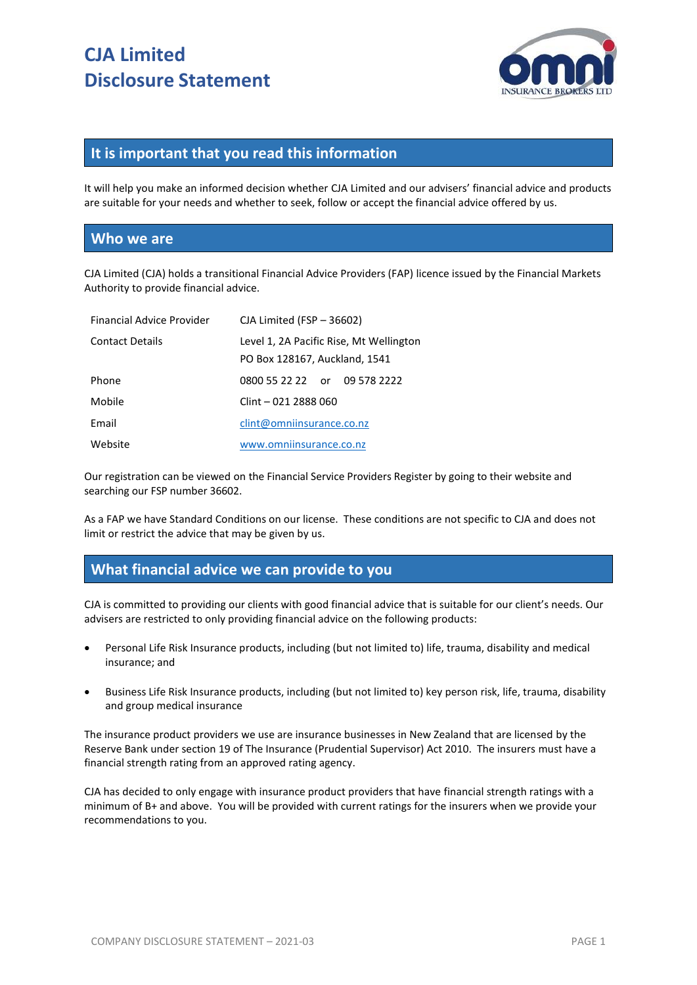

# **It is important that you read this information**

It will help you make an informed decision whether CJA Limited and our advisers' financial advice and products are suitable for your needs and whether to seek, follow or accept the financial advice offered by us.

#### **Who we are**

CJA Limited (CJA) holds a transitional Financial Advice Providers (FAP) licence issued by the Financial Markets Authority to provide financial advice.

| Financial Advice Provider | CJA Limited (FSP - 36602)                                                |
|---------------------------|--------------------------------------------------------------------------|
| <b>Contact Details</b>    | Level 1, 2A Pacific Rise, Mt Wellington<br>PO Box 128167, Auckland, 1541 |
| Phone                     | 0800 55 22 22 or 09 578 2222                                             |
| Mobile                    | Clint - 021 2888 060                                                     |
| Email                     | clint@omniinsurance.co.nz                                                |
| Website                   | www.omniinsurance.co.nz                                                  |

Our registration can be viewed on the Financial Service Providers Register by going to their website and searching our FSP number 36602.

As a FAP we have Standard Conditions on our license. These conditions are not specific to CJA and does not limit or restrict the advice that may be given by us.

#### **What financial advice we can provide to you**

CJA is committed to providing our clients with good financial advice that is suitable for our client's needs. Our advisers are restricted to only providing financial advice on the following products:

- Personal Life Risk Insurance products, including (but not limited to) life, trauma, disability and medical insurance; and
- Business Life Risk Insurance products, including (but not limited to) key person risk, life, trauma, disability and group medical insurance

The insurance product providers we use are insurance businesses in New Zealand that are licensed by the Reserve Bank under section 19 of The Insurance (Prudential Supervisor) Act 2010. The insurers must have a financial strength rating from an approved rating agency.

CJA has decided to only engage with insurance product providers that have financial strength ratings with a minimum of B+ and above. You will be provided with current ratings for the insurers when we provide your recommendations to you.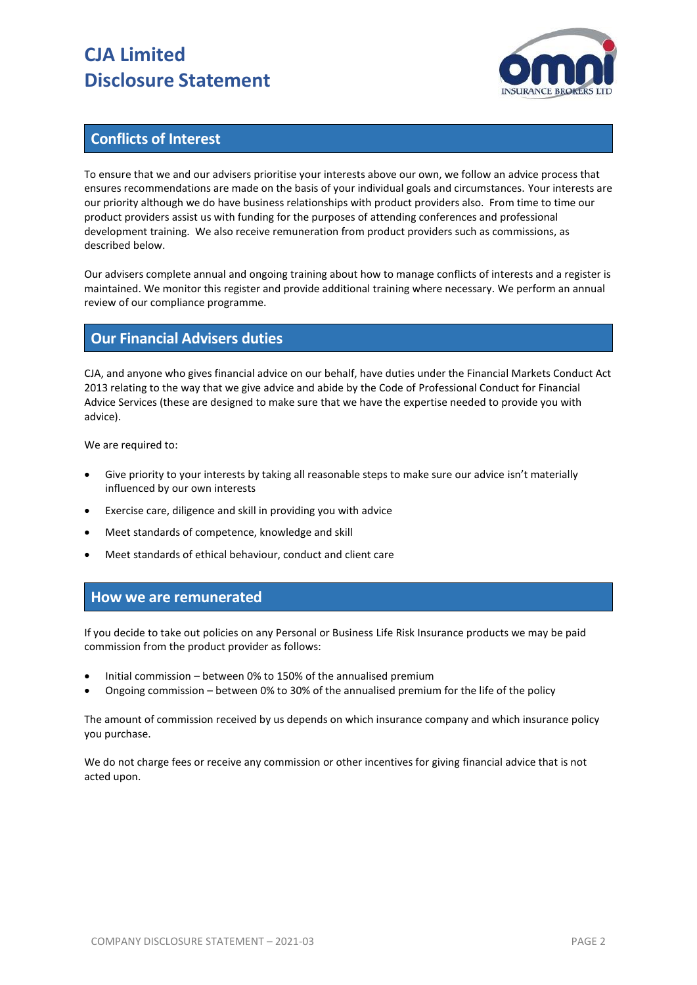# **CJA Limited Disclosure Statement**



# **Conflicts of Interest**

To ensure that we and our advisers prioritise your interests above our own, we follow an advice process that ensures recommendations are made on the basis of your individual goals and circumstances. Your interests are our priority although we do have business relationships with product providers also. From time to time our product providers assist us with funding for the purposes of attending conferences and professional development training. We also receive remuneration from product providers such as commissions, as described below.

Our advisers complete annual and ongoing training about how to manage conflicts of interests and a register is maintained. We monitor this register and provide additional training where necessary. We perform an annual review of our compliance programme.

# **Our Financial Advisers duties**

CJA, and anyone who gives financial advice on our behalf, have duties under the Financial Markets Conduct Act 2013 relating to the way that we give advice and abide by the Code of Professional Conduct for Financial Advice Services (these are designed to make sure that we have the expertise needed to provide you with advice).

We are required to:

- Give priority to your interests by taking all reasonable steps to make sure our advice isn't materially influenced by our own interests
- Exercise care, diligence and skill in providing you with advice
- Meet standards of competence, knowledge and skill
- Meet standards of ethical behaviour, conduct and client care

#### **How we are remunerated**

If you decide to take out policies on any Personal or Business Life Risk Insurance products we may be paid commission from the product provider as follows:

- Initial commission between 0% to 150% of the annualised premium
- Ongoing commission between 0% to 30% of the annualised premium for the life of the policy

The amount of commission received by us depends on which insurance company and which insurance policy you purchase.

We do not charge fees or receive any commission or other incentives for giving financial advice that is not acted upon.